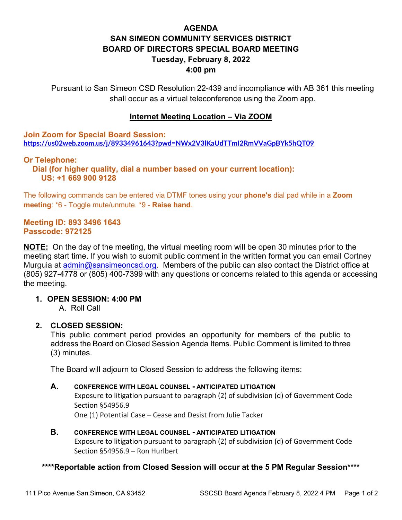# **AGENDA SAN SIMEON COMMUNITY SERVICES DISTRICT BOARD OF DIRECTORS SPECIAL BOARD MEETING Tuesday, February 8, 2022 4:00 pm**

Pursuant to San Simeon CSD Resolution 22-439 and incompliance with AB 361 this meeting shall occur as a virtual teleconference using the Zoom app.

### **Internet Meeting Location – Via ZOOM**

**Join Zoom for Special Board Session: <https://us02web.zoom.us/j/89334961643?pwd=NWx2V3lKaUdTTmI2RmVVaGpBYk5hQT09>**

### **Or Telephone:**

 **Dial (for higher quality, dial a number based on your current location): US: +1 669 900 9128** 

The following commands can be entered via DTMF tones using your **phone's** dial pad while in a **Zoom meeting**: \*6 - Toggle mute/unmute. \*9 - **Raise hand**.

#### **Meeting ID: 893 3496 1643 Passcode: 972125**

**NOTE:** On the day of the meeting, the virtual meeting room will be open 30 minutes prior to the meeting start time. If you wish to submit public comment in the written format you can email Cortney Murquia at [admin@sansimeoncsd.org.](mailto:admin@sansimeoncsd.org) Members of the public can also contact the District office at (805) 927-4778 or (805) 400-7399 with any questions or concerns related to this agenda or accessing the meeting.

### **1. OPEN SESSION: 4:00 PM**

A. Roll Call

### **2. CLOSED SESSION:**

This public comment period provides an opportunity for members of the public to address the Board on Closed Session Agenda Items. Public Comment is limited to three (3) minutes.

The Board will adjourn to Closed Session to address the following items:

#### **A. CONFERENCE WITH LEGAL COUNSEL - ANTICIPATED LITIGATION**

Exposure to litigation pursuant to paragraph (2) of subdivision (d) of Government Code Section §54956.9

One (1) Potential Case – Cease and Desist from Julie Tacker

**B. CONFERENCE WITH LEGAL COUNSEL - ANTICIPATED LITIGATION** Exposure to litigation pursuant to paragraph (2) of subdivision (d) of Government Code Section §54956.9 – Ron Hurlbert

### **\*\*\*\*Reportable action from Closed Session will occur at the 5 PM Regular Session\*\*\*\***